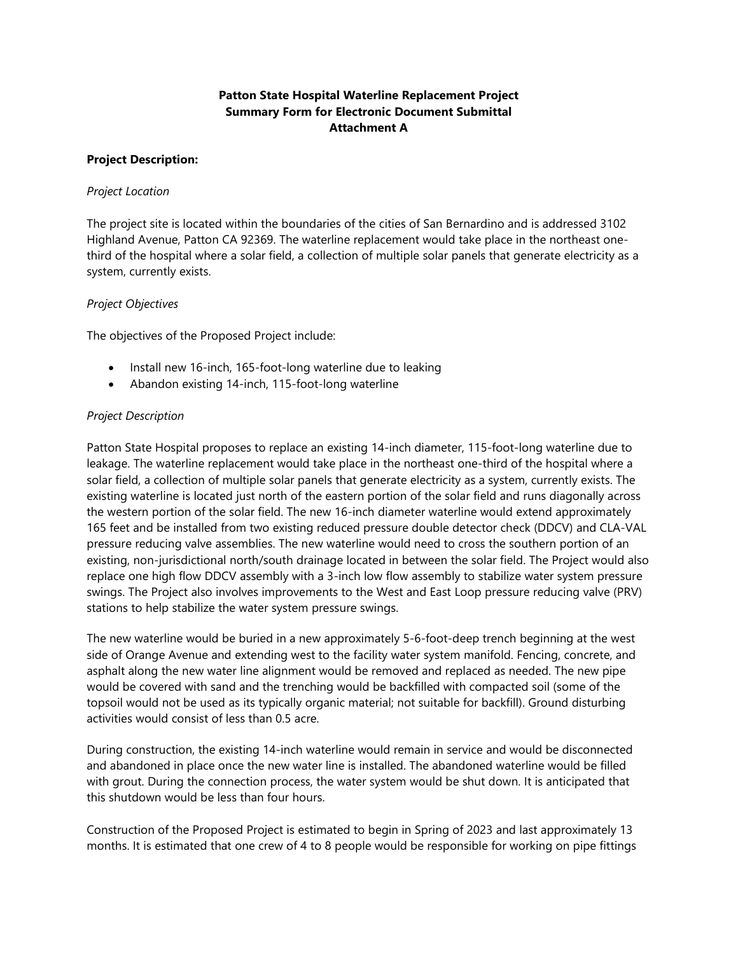# **Patton State Hospital Waterline Replacement Project Summary Form for Electronic Document Submittal Attachment A**

### **Project Description:**

## *Project Location*

The project site is located within the boundaries of the cities of San Bernardino and is addressed 3102 Highland Avenue, Patton CA 92369. The waterline replacement would take place in the northeast onethird of the hospital where a solar field, a collection of multiple solar panels that generate electricity as a system, currently exists.

### *Project Objectives*

The objectives of the Proposed Project include:

- Install new 16-inch, 165-foot-long waterline due to leaking
- Abandon existing 14-inch, 115-foot-long waterline

## *Project Description*

Patton State Hospital proposes to replace an existing 14-inch diameter, 115-foot-long waterline due to leakage. The waterline replacement would take place in the northeast one-third of the hospital where a solar field, a collection of multiple solar panels that generate electricity as a system, currently exists. The existing waterline is located just north of the eastern portion of the solar field and runs diagonally across the western portion of the solar field. The new 16-inch diameter waterline would extend approximately 165 feet and be installed from two existing reduced pressure double detector check (DDCV) and CLA-VAL pressure reducing valve assemblies. The new waterline would need to cross the southern portion of an existing, non-jurisdictional north/south drainage located in between the solar field. The Project would also replace one high flow DDCV assembly with a 3-inch low flow assembly to stabilize water system pressure swings. The Project also involves improvements to the West and East Loop pressure reducing valve (PRV) stations to help stabilize the water system pressure swings.

The new waterline would be buried in a new approximately 5-6-foot-deep trench beginning at the west side of Orange Avenue and extending west to the facility water system manifold. Fencing, concrete, and asphalt along the new water line alignment would be removed and replaced as needed. The new pipe would be covered with sand and the trenching would be backfilled with compacted soil (some of the topsoil would not be used as its typically organic material; not suitable for backfill). Ground disturbing activities would consist of less than 0.5 acre.

During construction, the existing 14-inch waterline would remain in service and would be disconnected and abandoned in place once the new water line is installed. The abandoned waterline would be filled with grout. During the connection process, the water system would be shut down. It is anticipated that this shutdown would be less than four hours.

Construction of the Proposed Project is estimated to begin in Spring of 2023 and last approximately 13 months. It is estimated that one crew of 4 to 8 people would be responsible for working on pipe fittings